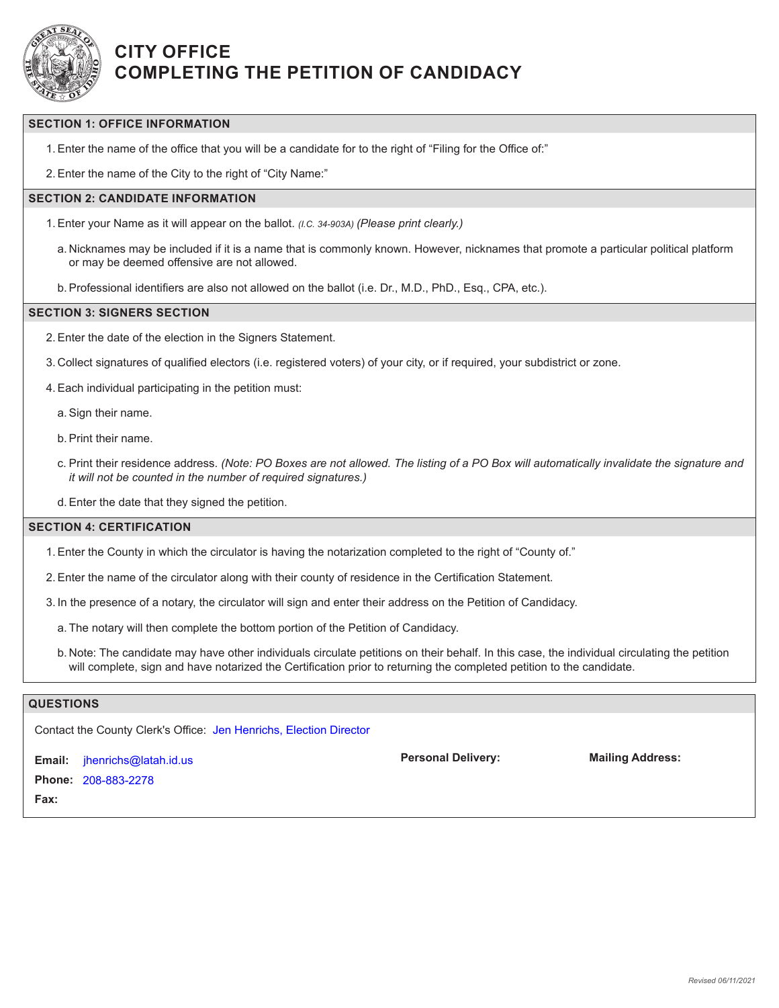

## **CITY OFFICE COMPLETING THE PETITION OF CANDIDACY**

## **SECTION 1: OFFICE INFORMATION**

1.Enter the name of the office that you will be a candidate for to the right of "Filing for the Office of:"

2.Enter the name of the City to the right of "City Name:"

## **SECTION 2: CANDIDATE INFORMATION**

- 1.Enter your Name as it will appear on the ballot. *(I.C. 34-903A) (Please print clearly.)*
	- a. Nicknames may be included if it is a name that is commonly known. However, nicknames that promote a particular political platform or may be deemed offensive are not allowed.
	- b.Professional identifiers are also not allowed on the ballot (i.e. Dr., M.D., PhD., Esq., CPA, etc.).

#### **SECTION 3: SIGNERS SECTION**

2.Enter the date of the election in the Signers Statement.

3. Collect signatures of qualified electors (i.e. registered voters) of your city, or if required, your subdistrict or zone.

4.Each individual participating in the petition must:

a.Sign their name.

b.Print their name.

- c. Print their residence address. *(Note: PO Boxes are not allowed. The listing of a PO Box will automatically invalidate the signature and it will not be counted in the number of required signatures.)*
- d.Enter the date that they signed the petition.

#### **SECTION 4: CERTIFICATION**

- 1.Enter the County in which the circulator is having the notarization completed to the right of "County of."
- 2.Enter the name of the circulator along with their county of residence in the Certification Statement.
- 3. In the presence of a notary, the circulator will sign and enter their address on the Petition of Candidacy.
	- a. The notary will then complete the bottom portion of the Petition of Candidacy.
	- b. Note: The candidate may have other individuals circulate petitions on their behalf. In this case, the individual circulating the petition will complete, sign and have notarized the Certification prior to returning the completed petition to the candidate.

## **QUESTIONS**

Contact the County Clerk's Office: Jen Henrichs, Election Director

**Email:** jhenrichs@latah.id.us **Phone:** 208-883-2278**Fax:**

**Personal Delivery: Mailing Address:**